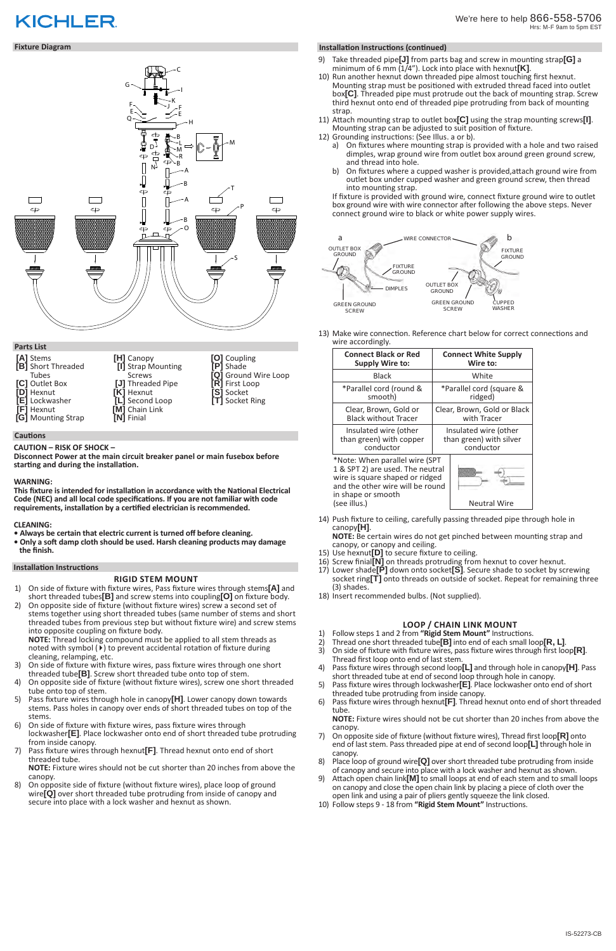# **KICHLER**

- 9) Take threaded pipe**[J]** from parts bag and screw in mounting strap**[G]** a minimum of 6 mm (1/4"). Lock into place with hexnut**[K]**.
- 10) Run another hexnut down threaded pipe almost touching first hexnut. Mounting strap must be positioned with extruded thread faced into outlet box**[C]**. Threaded pipe must protrude out the back of mounting strap. Screw third hexnut onto end of threaded pipe protruding from back of mounting strap.
- 11) Attach mounting strap to outlet box**[C]** using the strap mounting screws**[I]**. Mounting strap can be adjusted to suit position of fixture.
- 12) Grounding instructions: (See Illus. a or b).
	- a) On fixtures where mounting strap is provided with a hole and two raised dimples, wrap ground wire from outlet box around green ground screw, and thread into hole.
	- b) On fixtures where a cupped washer is provided,attach ground wire from outlet box under cupped washer and green ground screw, then thread into mounting strap.

If fixture is provided with ground wire, connect fixture ground wire to outlet box ground wire with wire connector after following the above steps. Never connect ground wire to black or white power supply wires.

13) Make wire connection. Reference chart below for correct connections and wire accordingly.

| <b>Connect Black or Red</b>                                                                                                                                     | <b>Connect White Supply</b> |
|-----------------------------------------------------------------------------------------------------------------------------------------------------------------|-----------------------------|
| <b>Supply Wire to:</b>                                                                                                                                          | Wire to:                    |
| <b>Black</b>                                                                                                                                                    | White                       |
| *Parallel cord (round &                                                                                                                                         | *Parallel cord (square &    |
| smooth)                                                                                                                                                         | ridged)                     |
| Clear, Brown, Gold or                                                                                                                                           | Clear, Brown, Gold or Black |
| <b>Black without Tracer</b>                                                                                                                                     | with Tracer                 |
| Insulated wire (other                                                                                                                                           | Insulated wire (other       |
| than green) with copper                                                                                                                                         | than green) with silver     |
| conductor                                                                                                                                                       | conductor                   |
| *Note: When parallel wire (SPT<br>1 & SPT 2) are used. The neutral<br>wire is square shaped or ridged<br>and the other wire will be round<br>in shape or smooth |                             |

(see illus.) The Contract of the Neutral Wire

14) Push fixture to ceiling, carefully passing threaded pipe through hole in

canopy**[H]**. **NOTE:** Be certain wires do not get pinched between mounting strap and canopy, or canopy and ceiling.

noted with symbol  $(\cdot)$  to prevent accidental rotation of fixture during cleaning, relamping, etc.

- 15) Use hexnut**[D]** to secure fixture to ceiling.
- 16) Screw finial**[N]** on threads protruding from hexnut to cover hexnut.
- 17) Lower shade**[P]** down onto socket**[S]**. Secure shade to socket by screwing socket ring**[T]** onto threads on outside of socket. Repeat for remaining three (3) shades.
- 18) Insert recommended bulbs. (Not supplied).



# **Fixture Diagram**

## **Cautions**

**CAUTION – RISK OF SHOCK –** 

**Disconnect Power at the main circuit breaker panel or main fusebox before starting and during the installation.** 

## **WARNING:**

**This fixture is intended for installation in accordance with the National Electrical Code (NEC) and all local code specifications. If you are not familiar with code requirements, installation by a certified electrician is recommended.**

## **CLEANING:**

- **Always be certain that electric current is turned off before cleaning.**
- **Only a soft damp cloth should be used. Harsh cleaning products may damage the finish.**

#### **Installation Instructions**



## **RIGID STEM MOUNT**

- 1) On side of fixture with fixture wires, Pass fixture wires through stems**[A]** and short threaded tubes**[B]** and screw stems into coupling**[O]** on fixture body.
- 2) On opposite side of fixture (without fixture wires) screw a second set of stems together using short threaded tubes (same number of stems and short threaded tubes from previous step but without fixture wire) and screw stems into opposite coupling on fixture body. **NOTE:** Thread locking compound must be applied to all stem threads as

- 3) On side of fixture with fixture wires, pass fixture wires through one short threaded tube**[B]**. Screw short threaded tube onto top of stem.
- 4) On opposite side of fixture (without fixture wires), screw one short threaded tube onto top of stem.
- 5) Pass fixture wires through hole in canopy**[H]**. Lower canopy down towards stems. Pass holes in canopy over ends of short threaded tubes on top of the stems. 6) On side of fixture with fixture wires, pass fixture wires through lockwasher**[E]**. Place lockwasher onto end of short threaded tube protruding from inside canopy. 7) Pass fixture wires through hexnut**[F]**. Thread hexnut onto end of short threaded tube.



**NOTE:** Fixture wires should not be cut shorter than 20 inches from above the canopy.

#### **Installation Instructions (continued)**

## **LOOP / CHAIN LINK MOUNT**

- 8) On opposite side of fixture (without fixture wires), place loop of ground wire**[Q]** over short threaded tube protruding from inside of canopy and secure into place with a lock washer and hexnut as shown.
- 6) Pass fixture wires through hexnut**[F]**. Thread hexnut onto end of short threaded tube.
- 
- 1) Follow steps 1 and 2 from **"Rigid Stem Mount"** Instructions.
- 2) Thread one short threaded tube**[B]** into end of each small loop**[R, L]**. 3) On side of fixture with fixture wires, pass fixture wires through first loop**[R]**. Thread first loop onto end of last stem.
- 4) Pass fixture wires through second loop**[L]** and through hole in canopy**[H]**. Pass short threaded tube at end of second loop through hole in canopy.
- 5) Pass fixture wires through lockwasher**[E]**. Place lockwasher onto end of short threaded tube protruding from inside canopy.

**NOTE:** Fixture wires should not be cut shorter than 20 inches from above the canopy.

- 7) On opposite side of fixture (without fixture wires), Thread first loop**[R]** onto end of last stem. Pass threaded pipe at end of second loop**[L]** through hole in canopy.
- 8) Place loop of ground wire**[Q]** over short threaded tube protruding from inside of canopy and secure into place with a lock washer and hexnut as shown.
- 9) Attach open chain link**[M]** to small loops at end of each stem and to small loops on canopy and close the open chain link by placing a piece of cloth over the open link and using a pair of pliers gently squeeze the link closed.
- 10) Follow steps 9 18 from **"Rigid Stem Mount"** Instructions.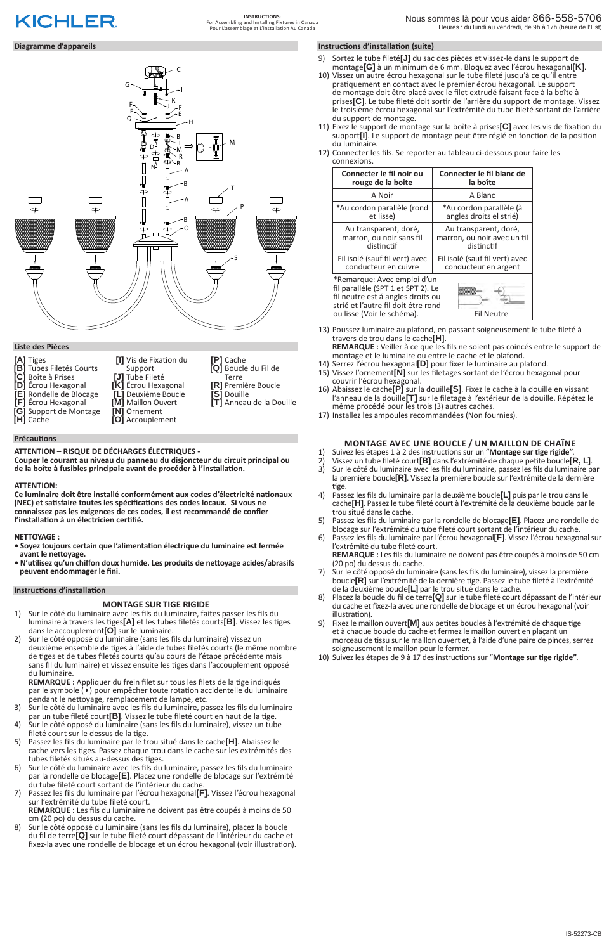# **KICHLER**

# **MONTAGE SUR TIGE RIGIDE**

- 1) Sur le côté du luminaire avec les fils du luminaire, faites passer les fils du luminaire à travers les tiges**[A]** et les tubes filetés courts**[B]**. Vissez les tiges dans le accouplement**[O]** sur le luminaire.
- 2) Sur le côté opposé du luminaire (sans les fils du luminaire) vissez un deuxième ensemble de tiges à l'aide de tubes filetés courts (le même nombre de tiges et de tubes filetés courts qu'au cours de l'étape précédente mais sans fil du luminaire) et vissez ensuite les tiges dans l'accouplement opposé du luminaire.

**REMARQUE :** Appliquer du frein filet sur tous les filets de la tige indiqués par le symbole (4) pour empêcher toute rotation accidentelle du luminaire

## **Diagramme d'appareils**

**ATTENTION – RISQUE DE DÉCHARGES ÉLECTRIQUES - Couper le courant au niveau du panneau du disjoncteur du circuit principal ou de la boîte à fusibles principale avant de procéder à l'installation.**

\*Remarque: Avec emploi d'un fil paralléle (SPT 1 et SPT 2). Le fil neutre est á angles droits ou strié et l'autre fil doit étre rond ou lisse (Voir le schéma).  $\qquad \qquad$  Fil Neutre



# **ATTENTION:**

**Ce luminaire doit être installé conformément aux codes d'électricité nationaux (NEC) et satisfaire toutes les spécifications des codes locaux. Si vous ne connaissez pas les exigences de ces codes, il est recommandé de confier l'installation à un électricien certifié.**

# **NETTOYAGE :**

- **Soyez toujours certain que l'alimentation électrique du luminaire est fermée avant le nettoyage.**
- **N'utilisez qu'un chiffon doux humide. Les produits de nettoyage acides/abrasifs peuvent endommager le fini.**

## **Liste des Pièces**

## **Précautions**



# **Instructions d'installation**

- 9) Sortez le tube fileté**[J]** du sac des pièces et vissez-le dans le support de montage**[G]** à un minimum de 6 mm. Bloquez avec l'écrou hexagonal**[K]**.
- 10) Vissez un autre écrou hexagonal sur le tube fileté jusqu'à ce qu'il entre pratiquement en contact avec le premier écrou hexagonal. Le support de montage doit être placé avec le filet extrudé faisant face à la boîte à prises**[C]**. Le tube fileté doit sortir de l'arrière du support de montage. Vissez le troisième écrou hexagonal sur l'extrémité du tube fileté sortant de l'arrière du support de montage.
- 11) Fixez le support de montage sur la boîte à prises**[C]** avec les vis de fixation du support**[I]**. Le support de montage peut être réglé en fonction de la position du luminaire.
- 12) Connecter les fils. Se reporter au tableau ci-dessous pour faire les connexions.

- 1) Suivez les étapes 1 à 2 des instructions sur un "**Montage sur tige rigide"**.
- 2) Vissez un tube fileté court**[B]** dans l'extrémité de chaque petite boucle**[R, L]**.
- 3) Sur le côté du luminaire avec les fils du luminaire, passez les fils du luminaire par la première boucle**[R]**. Vissez la première boucle sur l'extrémité de la dernière tige.
- 4) Passez les fils du luminaire par la deuxième boucle**[L]** puis par le trou dans le cache**[H]**. Passez le tube fileté court à l'extrémité de la deuxième boucle par le trou situé dans le cache.
- 5) Passez les fils du luminaire par la rondelle de blocage**[E]**. Placez une rondelle de blocage sur l'extrémité du tube fileté court sortant de l'intérieur du cache.
- 6) Passez les fils du luminaire par l'écrou hexagonal**[F]**. Vissez l'écrou hexagonal sur l'extrémité du tube fileté court. **REMARQUE :** Les fils du luminaire ne doivent pas être coupés à moins de 50 cm
- (20 po) du dessus du cache. 7) Sur le côté opposé du luminaire (sans les fils du luminaire), vissez la première boucle**[R]** sur l'extrémité de la dernière tige. Passez le tube fileté à l'extrémité de la deuxième boucle**[L]** par le trou situé dans le cache.
- 8) Placez la boucle du fil de terre**[Q]** sur le tube fileté court dépassant de l'intérieur du cache et fixez-la avec une rondelle de blocage et un écrou hexagonal (voir illustration).
- 9) Fixez le maillon ouvert**[M]** aux petites boucles à l'extrémité de chaque tige et à chaque boucle du cache et fermez le maillon ouvert en plaçant un morceau de tissu sur le maillon ouvert et, à l'aide d'une paire de pinces, serrez soigneusement le maillon pour le fermer.
- 10) Suivez les étapes de 9 à 17 des instructions sur "**Montage sur tige rigide"**.
- pendant le nettoyage, remplacement de lampe, etc.
- 3) Sur le côté du luminaire avec les fils du luminaire, passez les fils du luminaire par un tube fileté court**[B]**. Vissez le tube fileté court en haut de la tige.
- 4) Sur le côté opposé du luminaire (sans les fils du luminaire), vissez un tube fileté court sur le dessus de la tige.
- 5) Passez les fils du luminaire par le trou situé dans le cache**[H]**. Abaissez le cache vers les tiges. Passez chaque trou dans le cache sur les extrémités des tubes filetés situés au-dessus des tiges.
- 6) Sur le côté du luminaire avec les fils du luminaire, passez les fils du luminaire par la rondelle de blocage**[E]**. Placez une rondelle de blocage sur l'extrémité du tube fileté court sortant de l'intérieur du cache.
- 7) Passez les fils du luminaire par l'écrou hexagonal**[F]**. Vissez l'écrou hexagonal sur l'extrémité du tube fileté court. **REMARQUE :** Les fils du luminaire ne doivent pas être coupés à moins de 50 cm (20 po) du dessus du cache.
- 8) Sur le côté opposé du luminaire (sans les fils du luminaire), placez la boucle du fil de terre**[Q]** sur le tube fileté court dépassant de l'intérieur du cache et fixez-la avec une rondelle de blocage et un écrou hexagonal (voir illustration).

| Connecter le fil noir ou       | Connecter le fil blanc de      |
|--------------------------------|--------------------------------|
| rouge de la boite              | la boîte                       |
| A Noir                         | A Blanc                        |
| *Au cordon parallèle (rond     | *Au cordon parallèle (à        |
| et lisse)                      | angles droits el strié)        |
| Au transparent, doré,          | Au transparent, doré,          |
| marron, ou noir sans fil       | marron, ou noir avec un til    |
| distinctif                     | distinctif                     |
| Fil isolé (sauf fil vert) avec | Fil isolé (sauf fil vert) avec |
| conducteur en cuivre           | conducteur en argent           |
| *Pamarque: Avec amploi d'un    |                                |

- 13) Poussez luminaire au plafond, en passant soigneusement le tube fileté à travers de trou dans le cache**[H]**.
- **REMARQUE :** Veiller à ce que les fils ne soient pas coincés entre le support de montage et le luminaire ou entre le cache et le plafond.
- 14) Serrez l'écrou hexagonal**[D]** pour fixer le luminaire au plafond.
- 15) Vissez l'ornement**[N]** sur les filetages sortant de l'écrou hexagonal pour couvrir l'écrou hexagonal.
- 16) Abaissez le cache**[P]** sur la douille**[S]**. Fixez le cache à la douille en vissant l'anneau de la douille**[T]** sur le filetage à l'extérieur de la douille. Répétez le même procédé pour les trois (3) autres caches.
- 17) Installez les ampoules recommandées (Non fournies).

# **Instructions d'installation (suite)**

# **MONTAGE AVEC UNE BOUCLE / UN MAILLON DE CHAÎNE**